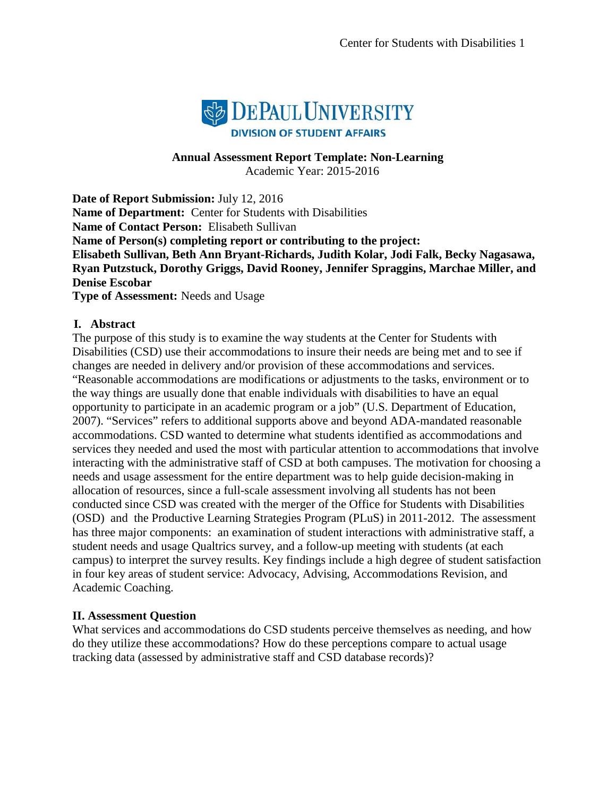

#### **Annual Assessment Report Template: Non-Learning** Academic Year: 2015-2016

**Date of Report Submission:** July 12, 2016 **Name of Department:** Center for Students with Disabilities **Name of Contact Person:** Elisabeth Sullivan **Name of Person(s) completing report or contributing to the project: Elisabeth Sullivan, Beth Ann Bryant-Richards, Judith Kolar, Jodi Falk, Becky Nagasawa, Ryan Putzstuck, Dorothy Griggs, David Rooney, Jennifer Spraggins, Marchae Miller, and Denise Escobar Type of Assessment:** Needs and Usage

#### **I. Abstract**

The purpose of this study is to examine the way students at the Center for Students with Disabilities (CSD) use their accommodations to insure their needs are being met and to see if changes are needed in delivery and/or provision of these accommodations and services. "Reasonable accommodations are modifications or adjustments to the tasks, environment or to the way things are usually done that enable individuals with [disabilities](http://ps006/) to have an equal opportunity to participate in an academic program or a job" (U.S. Department of Education, 2007). "Services" refers to additional supports above and beyond ADA-mandated reasonable accommodations. CSD wanted to determine what students identified as accommodations and services they needed and used the most with particular attention to accommodations that involve interacting with the administrative staff of CSD at both campuses. The motivation for choosing a needs and usage assessment for the entire department was to help guide decision-making in allocation of resources, since a full-scale assessment involving all students has not been conducted since CSD was created with the merger of the Office for Students with Disabilities (OSD) and the Productive Learning Strategies Program (PLuS) in 2011-2012. The assessment has three major components: an examination of student interactions with administrative staff, a student needs and usage Qualtrics survey, and a follow-up meeting with students (at each campus) to interpret the survey results. Key findings include a high degree of student satisfaction in four key areas of student service: Advocacy, Advising, Accommodations Revision, and Academic Coaching.

# **II. Assessment Question**

What services and accommodations do CSD students perceive themselves as needing, and how do they utilize these accommodations? How do these perceptions compare to actual usage tracking data (assessed by administrative staff and CSD database records)?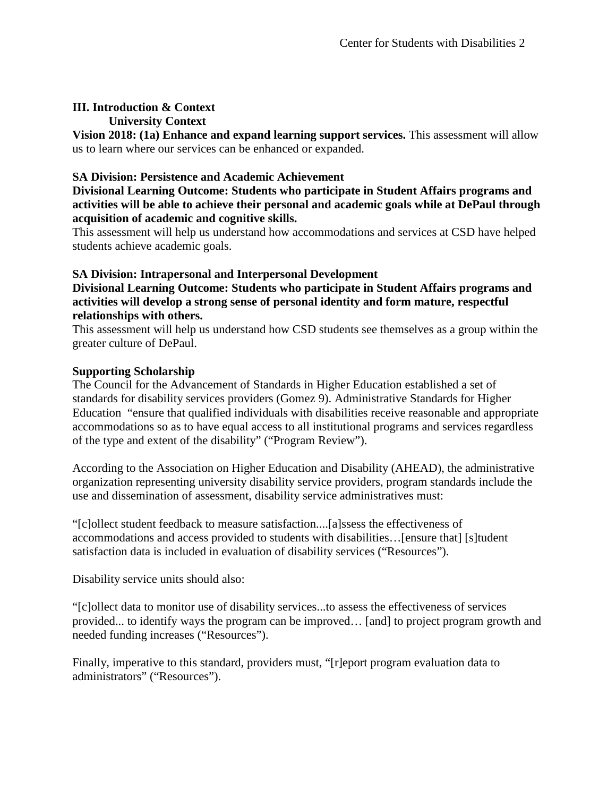# **III. Introduction & Context**

### **University Context**

**Vision 2018: (1a) Enhance and expand learning support services.** This assessment will allow us to learn where our services can be enhanced or expanded.

# **SA Division: Persistence and Academic Achievement**

### **Divisional Learning Outcome: Students who participate in Student Affairs programs and activities will be able to achieve their personal and academic goals while at DePaul through acquisition of academic and cognitive skills.**

This assessment will help us understand how accommodations and services at CSD have helped students achieve academic goals.

# **SA Division: Intrapersonal and Interpersonal Development**

**Divisional Learning Outcome: Students who participate in Student Affairs programs and activities will develop a strong sense of personal identity and form mature, respectful relationships with others.**

This assessment will help us understand how CSD students see themselves as a group within the greater culture of DePaul.

# **Supporting Scholarship**

The Council for the Advancement of Standards in Higher Education established a set of standards for disability services providers (Gomez 9). Administrative Standards for Higher Education "ensure that qualified individuals with disabilities receive reasonable and appropriate accommodations so as to have equal access to all institutional programs and services regardless of the type and extent of the disability" ("Program Review").

According to the Association on Higher Education and Disability (AHEAD), the administrative organization representing university disability service providers, program standards include the use and dissemination of assessment, disability service administratives must:

"[c]ollect student feedback to measure satisfaction....[a]ssess the effectiveness of accommodations and access provided to students with disabilities…[ensure that] [s]tudent satisfaction data is included in evaluation of disability services ("Resources").

Disability service units should also:

"[c]ollect data to monitor use of disability services...to assess the effectiveness of services provided... to identify ways the program can be improved… [and] to project program growth and needed funding increases ("Resources").

Finally, imperative to this standard, providers must, "[r]eport program evaluation data to administrators" ("Resources").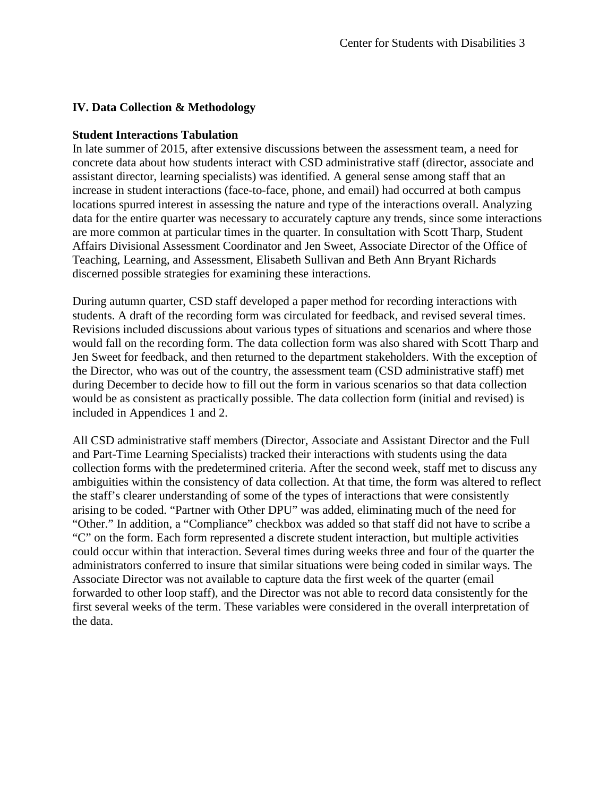# **IV. Data Collection & Methodology**

### **Student Interactions Tabulation**

In late summer of 2015, after extensive discussions between the assessment team, a need for concrete data about how students interact with CSD administrative staff (director, associate and assistant director, learning specialists) was identified. A general sense among staff that an increase in student interactions (face-to-face, phone, and email) had occurred at both campus locations spurred interest in assessing the nature and type of the interactions overall. Analyzing data for the entire quarter was necessary to accurately capture any trends, since some interactions are more common at particular times in the quarter. In consultation with Scott Tharp, Student Affairs Divisional Assessment Coordinator and Jen Sweet, Associate Director of the Office of Teaching, Learning, and Assessment, Elisabeth Sullivan and Beth Ann Bryant Richards discerned possible strategies for examining these interactions.

During autumn quarter, CSD staff developed a paper method for recording interactions with students. A draft of the recording form was circulated for feedback, and revised several times. Revisions included discussions about various types of situations and scenarios and where those would fall on the recording form. The data collection form was also shared with Scott Tharp and Jen Sweet for feedback, and then returned to the department stakeholders. With the exception of the Director, who was out of the country, the assessment team (CSD administrative staff) met during December to decide how to fill out the form in various scenarios so that data collection would be as consistent as practically possible. The data collection form (initial and revised) is included in Appendices 1 and 2.

All CSD administrative staff members (Director, Associate and Assistant Director and the Full and Part-Time Learning Specialists) tracked their interactions with students using the data collection forms with the predetermined criteria. After the second week, staff met to discuss any ambiguities within the consistency of data collection. At that time, the form was altered to reflect the staff's clearer understanding of some of the types of interactions that were consistently arising to be coded. "Partner with Other DPU" was added, eliminating much of the need for "Other." In addition, a "Compliance" checkbox was added so that staff did not have to scribe a "C" on the form. Each form represented a discrete student interaction, but multiple activities could occur within that interaction. Several times during weeks three and four of the quarter the administrators conferred to insure that similar situations were being coded in similar ways. The Associate Director was not available to capture data the first week of the quarter (email forwarded to other loop staff), and the Director was not able to record data consistently for the first several weeks of the term. These variables were considered in the overall interpretation of the data.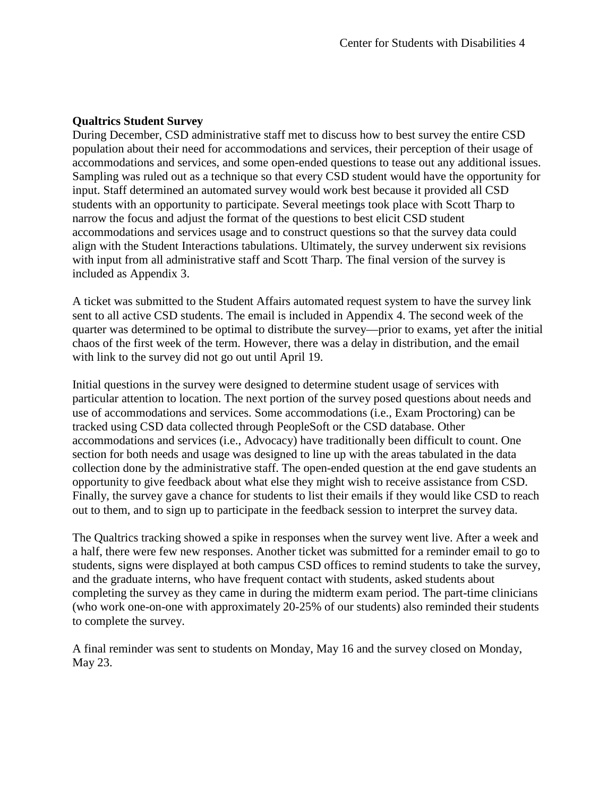### **Qualtrics Student Survey**

During December, CSD administrative staff met to discuss how to best survey the entire CSD population about their need for accommodations and services, their perception of their usage of accommodations and services, and some open-ended questions to tease out any additional issues. Sampling was ruled out as a technique so that every CSD student would have the opportunity for input. Staff determined an automated survey would work best because it provided all CSD students with an opportunity to participate. Several meetings took place with Scott Tharp to narrow the focus and adjust the format of the questions to best elicit CSD student accommodations and services usage and to construct questions so that the survey data could align with the Student Interactions tabulations. Ultimately, the survey underwent six revisions with input from all administrative staff and Scott Tharp. The final version of the survey is included as Appendix 3.

A ticket was submitted to the Student Affairs automated request system to have the survey link sent to all active CSD students. The email is included in Appendix 4. The second week of the quarter was determined to be optimal to distribute the survey—prior to exams, yet after the initial chaos of the first week of the term. However, there was a delay in distribution, and the email with link to the survey did not go out until April 19.

Initial questions in the survey were designed to determine student usage of services with particular attention to location. The next portion of the survey posed questions about needs and use of accommodations and services. Some accommodations (i.e., Exam Proctoring) can be tracked using CSD data collected through PeopleSoft or the CSD database. Other accommodations and services (i.e., Advocacy) have traditionally been difficult to count. One section for both needs and usage was designed to line up with the areas tabulated in the data collection done by the administrative staff. The open-ended question at the end gave students an opportunity to give feedback about what else they might wish to receive assistance from CSD. Finally, the survey gave a chance for students to list their emails if they would like CSD to reach out to them, and to sign up to participate in the feedback session to interpret the survey data.

The Qualtrics tracking showed a spike in responses when the survey went live. After a week and a half, there were few new responses. Another ticket was submitted for a reminder email to go to students, signs were displayed at both campus CSD offices to remind students to take the survey, and the graduate interns, who have frequent contact with students, asked students about completing the survey as they came in during the midterm exam period. The part-time clinicians (who work one-on-one with approximately 20-25% of our students) also reminded their students to complete the survey.

A final reminder was sent to students on Monday, May 16 and the survey closed on Monday, May 23.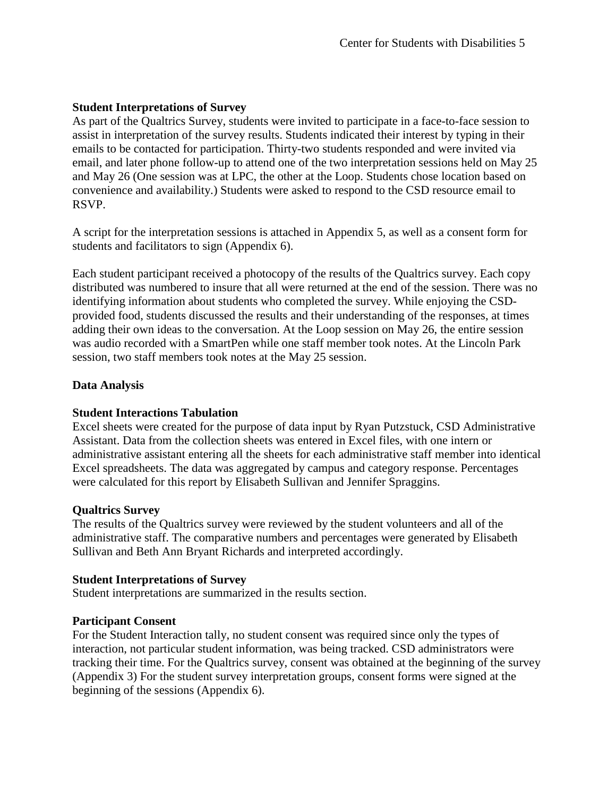### **Student Interpretations of Survey**

As part of the Qualtrics Survey, students were invited to participate in a face-to-face session to assist in interpretation of the survey results. Students indicated their interest by typing in their emails to be contacted for participation. Thirty-two students responded and were invited via email, and later phone follow-up to attend one of the two interpretation sessions held on May 25 and May 26 (One session was at LPC, the other at the Loop. Students chose location based on convenience and availability.) Students were asked to respond to the CSD resource email to RSVP.

A script for the interpretation sessions is attached in Appendix 5, as well as a consent form for students and facilitators to sign (Appendix 6).

Each student participant received a photocopy of the results of the Qualtrics survey. Each copy distributed was numbered to insure that all were returned at the end of the session. There was no identifying information about students who completed the survey. While enjoying the CSDprovided food, students discussed the results and their understanding of the responses, at times adding their own ideas to the conversation. At the Loop session on May 26, the entire session was audio recorded with a SmartPen while one staff member took notes. At the Lincoln Park session, two staff members took notes at the May 25 session.

# **Data Analysis**

# **Student Interactions Tabulation**

Excel sheets were created for the purpose of data input by Ryan Putzstuck, CSD Administrative Assistant. Data from the collection sheets was entered in Excel files, with one intern or administrative assistant entering all the sheets for each administrative staff member into identical Excel spreadsheets. The data was aggregated by campus and category response. Percentages were calculated for this report by Elisabeth Sullivan and Jennifer Spraggins.

#### **Qualtrics Survey**

The results of the Qualtrics survey were reviewed by the student volunteers and all of the administrative staff. The comparative numbers and percentages were generated by Elisabeth Sullivan and Beth Ann Bryant Richards and interpreted accordingly.

#### **Student Interpretations of Survey**

Student interpretations are summarized in the results section.

# **Participant Consent**

For the Student Interaction tally, no student consent was required since only the types of interaction, not particular student information, was being tracked. CSD administrators were tracking their time. For the Qualtrics survey, consent was obtained at the beginning of the survey (Appendix 3) For the student survey interpretation groups, consent forms were signed at the beginning of the sessions (Appendix 6).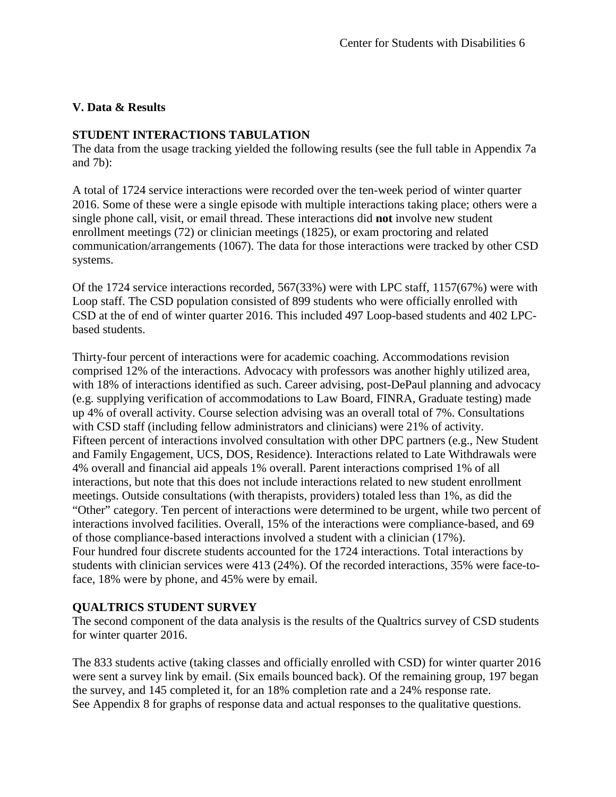# **V. Data & Results**

# **STUDENT INTERACTIONS TABULATION**

The data from the usage tracking yielded the following results (see the full table in Appendix 7a and 7b):

A total of 1724 service interactions were recorded over the ten-week period of winter quarter 2016. Some of these were a single episode with multiple interactions taking place; others were a single phone call, visit, or email thread. These interactions did **not** involve new student enrollment meetings (72) or clinician meetings (1825), or exam proctoring and related communication/arrangements (1067). The data for those interactions were tracked by other CSD systems.

Of the 1724 service interactions recorded, 567(33%) were with LPC staff, 1157(67%) were with Loop staff. The CSD population consisted of 899 students who were officially enrolled with CSD at the of end of winter quarter 2016. This included 497 Loop-based students and 402 LPCbased students.

Thirty-four percent of interactions were for academic coaching. Accommodations revision comprised 12% of the interactions. Advocacy with professors was another highly utilized area, with 18% of interactions identified as such. Career advising, post-DePaul planning and advocacy (e.g. supplying verification of accommodations to Law Board, FINRA, Graduate testing) made up 4% of overall activity. Course selection advising was an overall total of 7%. Consultations with CSD staff (including fellow administrators and clinicians) were 21% of activity. Fifteen percent of interactions involved consultation with other DPC partners (e.g., New Student and Family Engagement, UCS, DOS, Residence). Interactions related to Late Withdrawals were 4% overall and financial aid appeals 1% overall. Parent interactions comprised 1% of all interactions, but note that this does not include interactions related to new student enrollment meetings. Outside consultations (with therapists, providers) totaled less than 1%, as did the "Other" category. Ten percent of interactions were determined to be urgent, while two percent of interactions involved facilities. Overall, 15% of the interactions were compliance-based, and 69 of those compliance-based interactions involved a student with a clinician (17%). Four hundred four discrete students accounted for the 1724 interactions. Total interactions by students with clinician services were 413 (24%). Of the recorded interactions, 35% were face-toface, 18% were by phone, and 45% were by email.

# **QUALTRICS STUDENT SURVEY**

The second component of the data analysis is the results of the Qualtrics survey of CSD students for winter quarter 2016.

The 833 students active (taking classes and officially enrolled with CSD) for winter quarter 2016 were sent a survey link by email. (Six emails bounced back). Of the remaining group, 197 began the survey, and 145 completed it, for an 18% completion rate and a 24% response rate. See Appendix 8 for graphs of response data and actual responses to the qualitative questions.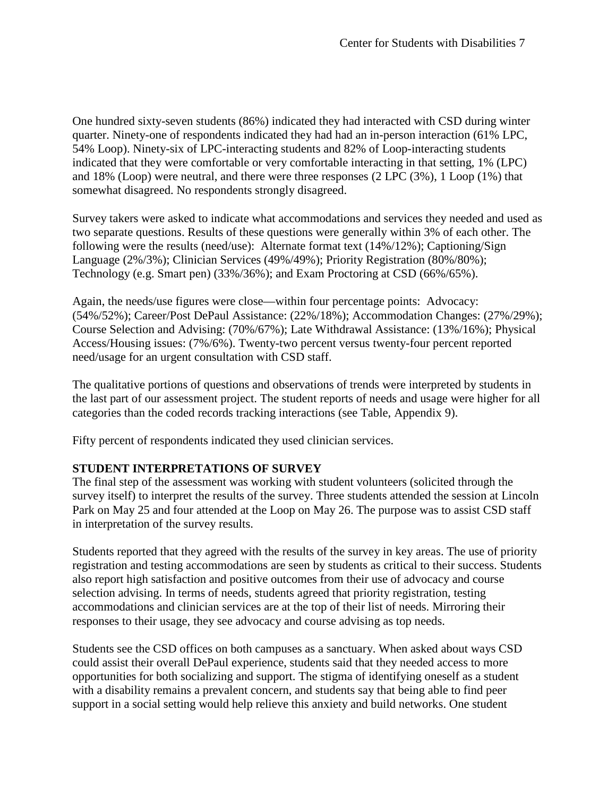One hundred sixty-seven students (86%) indicated they had interacted with CSD during winter quarter. Ninety-one of respondents indicated they had had an in-person interaction (61% LPC, 54% Loop). Ninety-six of LPC-interacting students and 82% of Loop-interacting students indicated that they were comfortable or very comfortable interacting in that setting, 1% (LPC) and 18% (Loop) were neutral, and there were three responses (2 LPC (3%), 1 Loop (1%) that somewhat disagreed. No respondents strongly disagreed.

Survey takers were asked to indicate what accommodations and services they needed and used as two separate questions. Results of these questions were generally within 3% of each other. The following were the results (need/use): Alternate format text (14%/12%); Captioning/Sign Language (2%/3%); Clinician Services (49%/49%); Priority Registration (80%/80%); Technology (e.g. Smart pen) (33%/36%); and Exam Proctoring at CSD (66%/65%).

Again, the needs/use figures were close—within four percentage points: Advocacy: (54%/52%); Career/Post DePaul Assistance: (22%/18%); Accommodation Changes: (27%/29%); Course Selection and Advising: (70%/67%); Late Withdrawal Assistance: (13%/16%); Physical Access/Housing issues: (7%/6%). Twenty-two percent versus twenty-four percent reported need/usage for an urgent consultation with CSD staff.

The qualitative portions of questions and observations of trends were interpreted by students in the last part of our assessment project. The student reports of needs and usage were higher for all categories than the coded records tracking interactions (see Table, Appendix 9).

Fifty percent of respondents indicated they used clinician services.

# **STUDENT INTERPRETATIONS OF SURVEY**

The final step of the assessment was working with student volunteers (solicited through the survey itself) to interpret the results of the survey. Three students attended the session at Lincoln Park on May 25 and four attended at the Loop on May 26. The purpose was to assist CSD staff in interpretation of the survey results.

Students reported that they agreed with the results of the survey in key areas. The use of priority registration and testing accommodations are seen by students as critical to their success. Students also report high satisfaction and positive outcomes from their use of advocacy and course selection advising. In terms of needs, students agreed that priority registration, testing accommodations and clinician services are at the top of their list of needs. Mirroring their responses to their usage, they see advocacy and course advising as top needs.

Students see the CSD offices on both campuses as a sanctuary. When asked about ways CSD could assist their overall DePaul experience, students said that they needed access to more opportunities for both socializing and support. The stigma of identifying oneself as a student with a disability remains a prevalent concern, and students say that being able to find peer support in a social setting would help relieve this anxiety and build networks. One student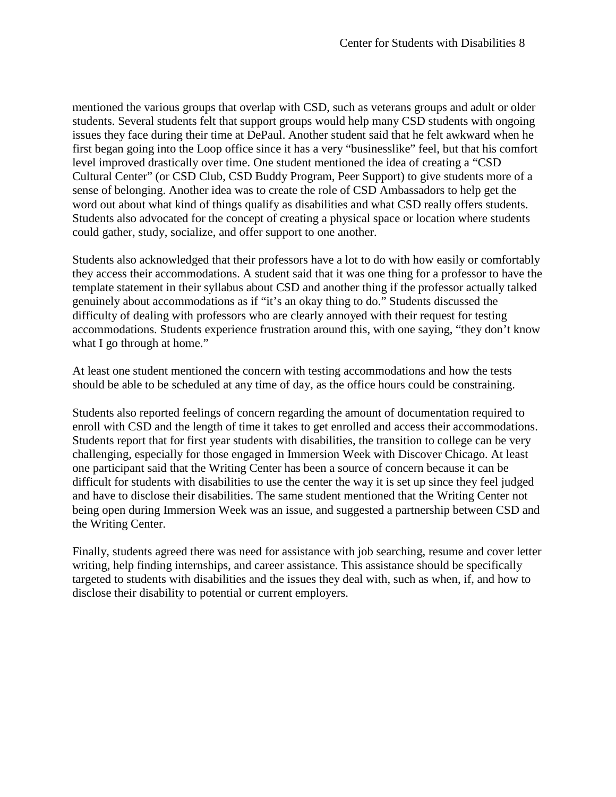mentioned the various groups that overlap with CSD, such as veterans groups and adult or older students. Several students felt that support groups would help many CSD students with ongoing issues they face during their time at DePaul. Another student said that he felt awkward when he first began going into the Loop office since it has a very "businesslike" feel, but that his comfort level improved drastically over time. One student mentioned the idea of creating a "CSD Cultural Center" (or CSD Club, CSD Buddy Program, Peer Support) to give students more of a sense of belonging. Another idea was to create the role of CSD Ambassadors to help get the word out about what kind of things qualify as disabilities and what CSD really offers students. Students also advocated for the concept of creating a physical space or location where students could gather, study, socialize, and offer support to one another.

Students also acknowledged that their professors have a lot to do with how easily or comfortably they access their accommodations. A student said that it was one thing for a professor to have the template statement in their syllabus about CSD and another thing if the professor actually talked genuinely about accommodations as if "it's an okay thing to do." Students discussed the difficulty of dealing with professors who are clearly annoyed with their request for testing accommodations. Students experience frustration around this, with one saying, "they don't know what I go through at home."

At least one student mentioned the concern with testing accommodations and how the tests should be able to be scheduled at any time of day, as the office hours could be constraining.

Students also reported feelings of concern regarding the amount of documentation required to enroll with CSD and the length of time it takes to get enrolled and access their accommodations. Students report that for first year students with disabilities, the transition to college can be very challenging, especially for those engaged in Immersion Week with Discover Chicago. At least one participant said that the Writing Center has been a source of concern because it can be difficult for students with disabilities to use the center the way it is set up since they feel judged and have to disclose their disabilities. The same student mentioned that the Writing Center not being open during Immersion Week was an issue, and suggested a partnership between CSD and the Writing Center.

Finally, students agreed there was need for assistance with job searching, resume and cover letter writing, help finding internships, and career assistance. This assistance should be specifically targeted to students with disabilities and the issues they deal with, such as when, if, and how to disclose their disability to potential or current employers.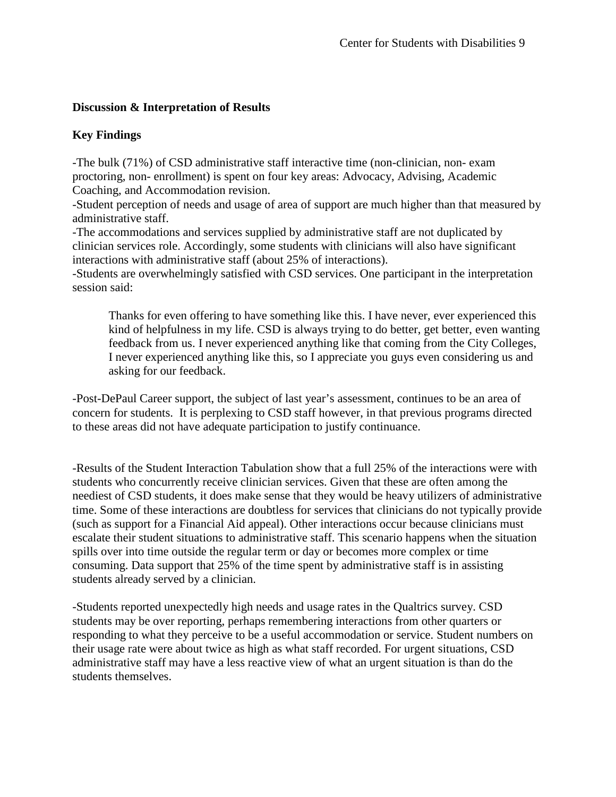# **Discussion & Interpretation of Results**

# **Key Findings**

-The bulk (71%) of CSD administrative staff interactive time (non-clinician, non- exam proctoring, non- enrollment) is spent on four key areas: Advocacy, Advising, Academic Coaching, and Accommodation revision.

-Student perception of needs and usage of area of support are much higher than that measured by administrative staff.

-The accommodations and services supplied by administrative staff are not duplicated by clinician services role. Accordingly, some students with clinicians will also have significant interactions with administrative staff (about 25% of interactions).

-Students are overwhelmingly satisfied with CSD services. One participant in the interpretation session said:

Thanks for even offering to have something like this. I have never, ever experienced this kind of helpfulness in my life. CSD is always trying to do better, get better, even wanting feedback from us. I never experienced anything like that coming from the City Colleges, I never experienced anything like this, so I appreciate you guys even considering us and asking for our feedback.

-Post-DePaul Career support, the subject of last year's assessment, continues to be an area of concern for students. It is perplexing to CSD staff however, in that previous programs directed to these areas did not have adequate participation to justify continuance.

-Results of the Student Interaction Tabulation show that a full 25% of the interactions were with students who concurrently receive clinician services. Given that these are often among the neediest of CSD students, it does make sense that they would be heavy utilizers of administrative time. Some of these interactions are doubtless for services that clinicians do not typically provide (such as support for a Financial Aid appeal). Other interactions occur because clinicians must escalate their student situations to administrative staff. This scenario happens when the situation spills over into time outside the regular term or day or becomes more complex or time consuming. Data support that 25% of the time spent by administrative staff is in assisting students already served by a clinician.

-Students reported unexpectedly high needs and usage rates in the Qualtrics survey. CSD students may be over reporting, perhaps remembering interactions from other quarters or responding to what they perceive to be a useful accommodation or service. Student numbers on their usage rate were about twice as high as what staff recorded. For urgent situations, CSD administrative staff may have a less reactive view of what an urgent situation is than do the students themselves.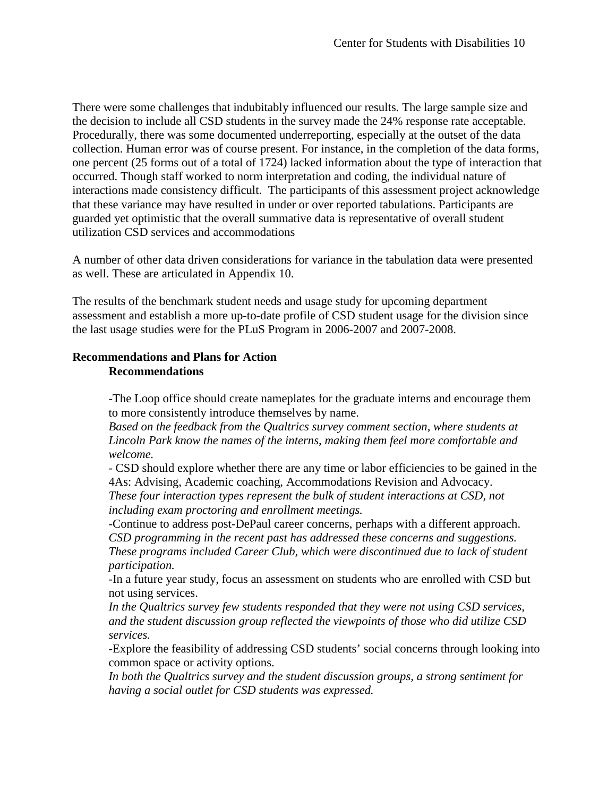There were some challenges that indubitably influenced our results. The large sample size and the decision to include all CSD students in the survey made the 24% response rate acceptable. Procedurally, there was some documented underreporting, especially at the outset of the data collection. Human error was of course present. For instance, in the completion of the data forms, one percent (25 forms out of a total of 1724) lacked information about the type of interaction that occurred. Though staff worked to norm interpretation and coding, the individual nature of interactions made consistency difficult. The participants of this assessment project acknowledge that these variance may have resulted in under or over reported tabulations. Participants are guarded yet optimistic that the overall summative data is representative of overall student utilization CSD services and accommodations

A number of other data driven considerations for variance in the tabulation data were presented as well. These are articulated in Appendix 10.

The results of the benchmark student needs and usage study for upcoming department assessment and establish a more up-to-date profile of CSD student usage for the division since the last usage studies were for the PLuS Program in 2006-2007 and 2007-2008.

# **Recommendations and Plans for Action Recommendations**

-The Loop office should create nameplates for the graduate interns and encourage them to more consistently introduce themselves by name.

*Based on the feedback from the Qualtrics survey comment section, where students at Lincoln Park know the names of the interns, making them feel more comfortable and welcome.*

- CSD should explore whether there are any time or labor efficiencies to be gained in the 4As: Advising, Academic coaching, Accommodations Revision and Advocacy. *These four interaction types represent the bulk of student interactions at CSD, not including exam proctoring and enrollment meetings.*

-Continue to address post-DePaul career concerns, perhaps with a different approach. *CSD programming in the recent past has addressed these concerns and suggestions. These programs included Career Club, which were discontinued due to lack of student participation.*

-In a future year study, focus an assessment on students who are enrolled with CSD but not using services.

*In the Qualtrics survey few students responded that they were not using CSD services, and the student discussion group reflected the viewpoints of those who did utilize CSD services.*

-Explore the feasibility of addressing CSD students' social concerns through looking into common space or activity options.

*In both the Qualtrics survey and the student discussion groups, a strong sentiment for having a social outlet for CSD students was expressed.*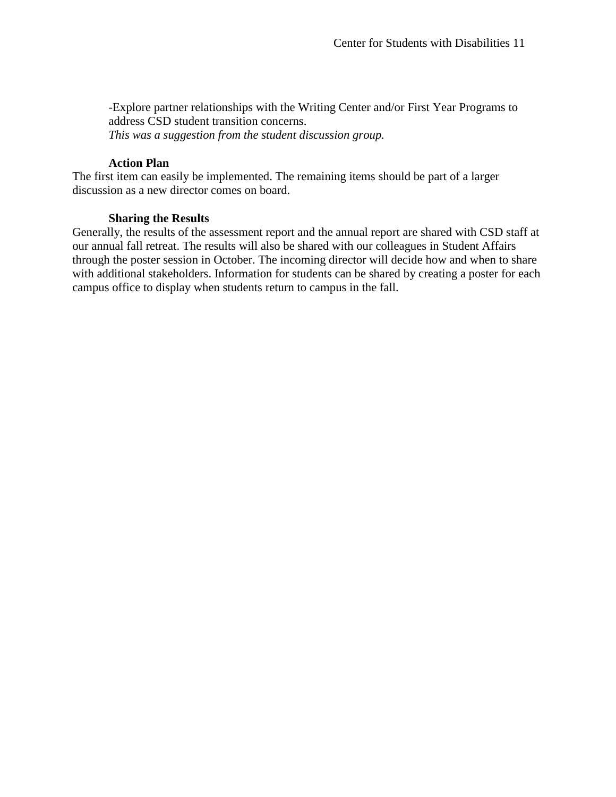-Explore partner relationships with the Writing Center and/or First Year Programs to address CSD student transition concerns. *This was a suggestion from the student discussion group.*

#### **Action Plan**

The first item can easily be implemented. The remaining items should be part of a larger discussion as a new director comes on board.

#### **Sharing the Results**

Generally, the results of the assessment report and the annual report are shared with CSD staff at our annual fall retreat. The results will also be shared with our colleagues in Student Affairs through the poster session in October. The incoming director will decide how and when to share with additional stakeholders. Information for students can be shared by creating a poster for each campus office to display when students return to campus in the fall.